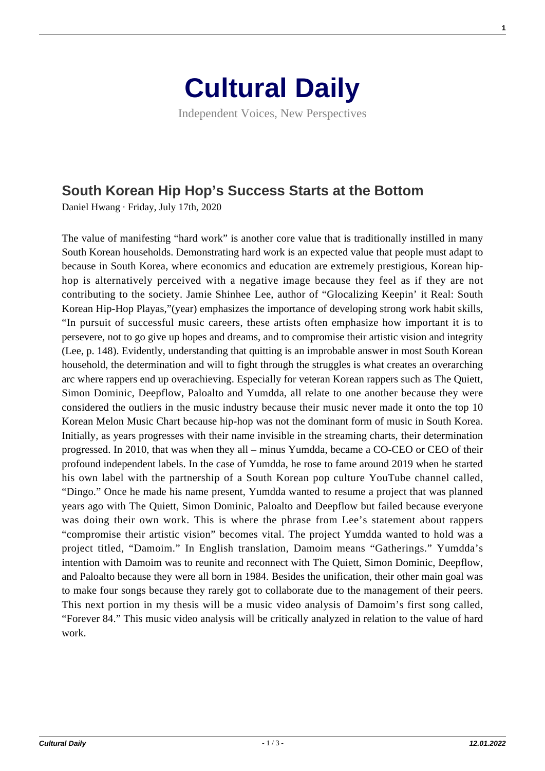## **[Cultural Daily](https://culturaldaily.com/)**

Independent Voices, New Perspectives

## **[South Korean Hip Hop's Success Starts at the Bottom](https://culturaldaily.com/south-korean-hip-hop-success-starts-at-the-bottom/)**

Daniel Hwang · Friday, July 17th, 2020

The value of manifesting "hard work" is another core value that is traditionally instilled in many South Korean households. Demonstrating hard work is an expected value that people must adapt to because in South Korea, where economics and education are extremely prestigious, Korean hiphop is alternatively perceived with a negative image because they feel as if they are not contributing to the society. Jamie Shinhee Lee, author of "Glocalizing Keepin' it Real: South Korean Hip-Hop Playas,"(year) emphasizes the importance of developing strong work habit skills, "In pursuit of successful music careers, these artists often emphasize how important it is to persevere, not to go give up hopes and dreams, and to compromise their artistic vision and integrity (Lee, p. 148). Evidently, understanding that quitting is an improbable answer in most South Korean household, the determination and will to fight through the struggles is what creates an overarching arc where rappers end up overachieving. Especially for veteran Korean rappers such as The Quiett, Simon Dominic, Deepflow, Paloalto and Yumdda, all relate to one another because they were considered the outliers in the music industry because their music never made it onto the top 10 Korean Melon Music Chart because hip-hop was not the dominant form of music in South Korea. Initially, as years progresses with their name invisible in the streaming charts, their determination progressed. In 2010, that was when they all – minus Yumdda, became a CO-CEO or CEO of their profound independent labels. In the case of Yumdda, he rose to fame around 2019 when he started his own label with the partnership of a South Korean pop culture YouTube channel called, "Dingo." Once he made his name present, Yumdda wanted to resume a project that was planned years ago with The Quiett, Simon Dominic, Paloalto and Deepflow but failed because everyone was doing their own work. This is where the phrase from Lee's statement about rappers "compromise their artistic vision" becomes vital. The project Yumdda wanted to hold was a project titled, "Damoim." In English translation, Damoim means "Gatherings." Yumdda's intention with Damoim was to reunite and reconnect with The Quiett, Simon Dominic, Deepflow, and Paloalto because they were all born in 1984. Besides the unification, their other main goal was to make four songs because they rarely got to collaborate due to the management of their peers. This next portion in my thesis will be a music video analysis of Damoim's first song called, "Forever 84." This music video analysis will be critically analyzed in relation to the value of hard work.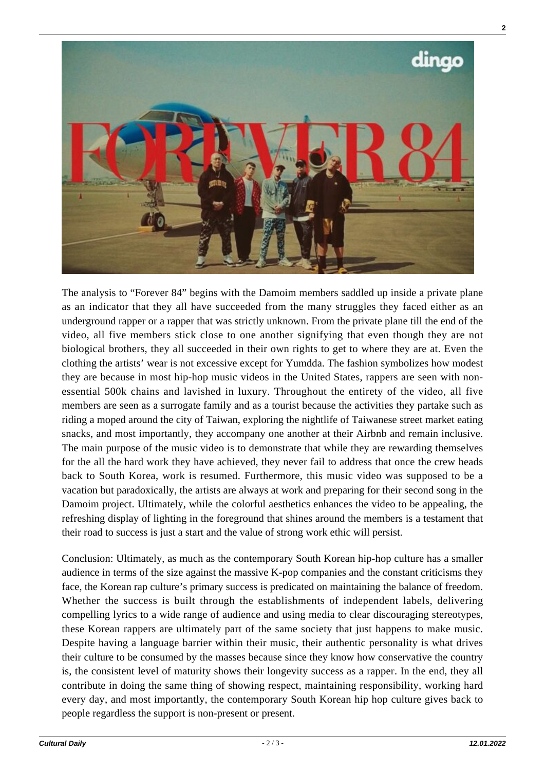

The analysis to "Forever 84" begins with the Damoim members saddled up inside a private plane as an indicator that they all have succeeded from the many struggles they faced either as an underground rapper or a rapper that was strictly unknown. From the private plane till the end of the video, all five members stick close to one another signifying that even though they are not biological brothers, they all succeeded in their own rights to get to where they are at. Even the clothing the artists' wear is not excessive except for Yumdda. The fashion symbolizes how modest they are because in most hip-hop music videos in the United States, rappers are seen with nonessential 500k chains and lavished in luxury. Throughout the entirety of the video, all five members are seen as a surrogate family and as a tourist because the activities they partake such as riding a moped around the city of Taiwan, exploring the nightlife of Taiwanese street market eating snacks, and most importantly, they accompany one another at their Airbnb and remain inclusive. The main purpose of the music video is to demonstrate that while they are rewarding themselves for the all the hard work they have achieved, they never fail to address that once the crew heads back to South Korea, work is resumed. Furthermore, this music video was supposed to be a vacation but paradoxically, the artists are always at work and preparing for their second song in the Damoim project. Ultimately, while the colorful aesthetics enhances the video to be appealing, the refreshing display of lighting in the foreground that shines around the members is a testament that their road to success is just a start and the value of strong work ethic will persist.

Conclusion: Ultimately, as much as the contemporary South Korean hip-hop culture has a smaller audience in terms of the size against the massive K-pop companies and the constant criticisms they face, the Korean rap culture's primary success is predicated on maintaining the balance of freedom. Whether the success is built through the establishments of independent labels, delivering compelling lyrics to a wide range of audience and using media to clear discouraging stereotypes, these Korean rappers are ultimately part of the same society that just happens to make music. Despite having a language barrier within their music, their authentic personality is what drives their culture to be consumed by the masses because since they know how conservative the country is, the consistent level of maturity shows their longevity success as a rapper. In the end, they all contribute in doing the same thing of showing respect, maintaining responsibility, working hard every day, and most importantly, the contemporary South Korean hip hop culture gives back to people regardless the support is non-present or present.